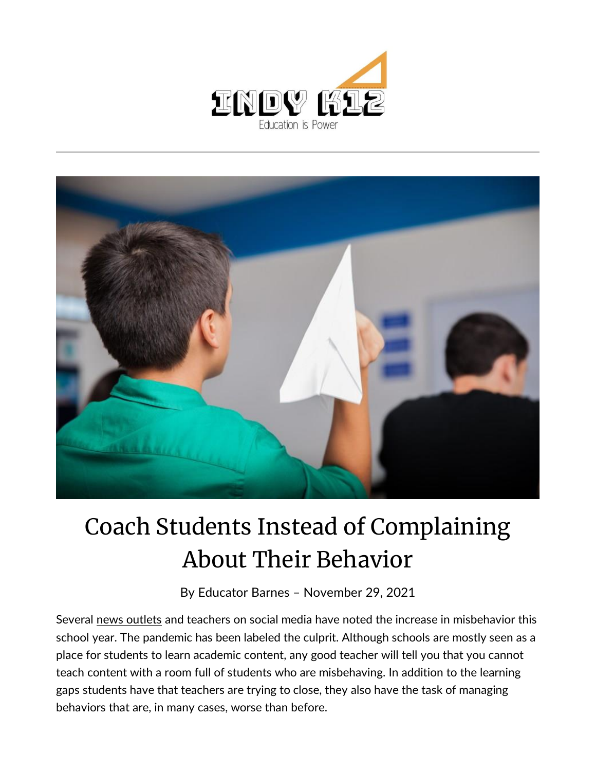



## Coach Students Instead of Complaining About Their Behavior

By [Educator Barnes](https://indy.education/author/shicole/) – November 29, 2021

Several [news outlets](https://boston.cbslocal.com/2021/10/08/schools-students-children-bad-behavior-issues-remote-learning-classrooms-pandemic/) and teachers on social media have noted the increase in misbehavior this school year. The pandemic has been labeled the culprit. Although schools are mostly seen as a place for students to learn academic content, any good teacher will tell you that you cannot teach content with a room full of students who are misbehaving. In addition to the learning gaps students have that teachers are trying to close, they also have the task of managing behaviors that are, in many cases, worse than before.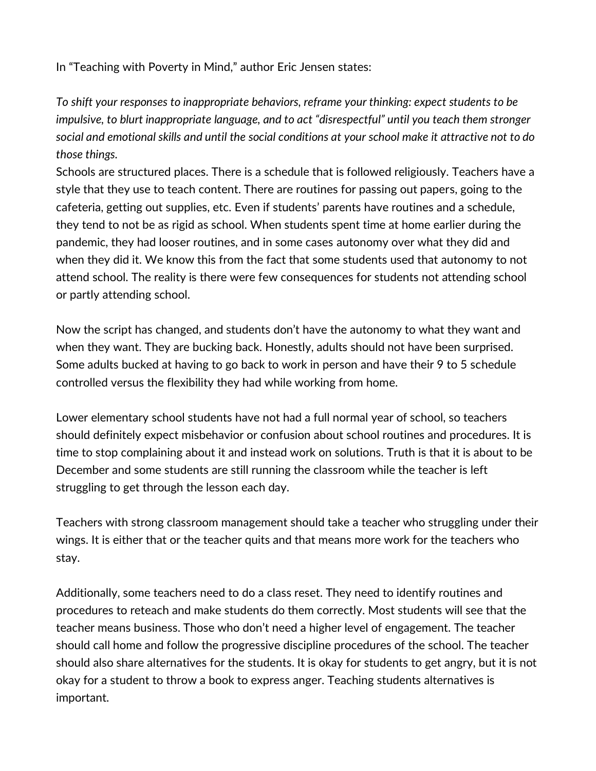In "Teaching with Poverty in Mind," author Eric Jensen states:

*To shift your responses to inappropriate behaviors, reframe your thinking: expect students to be impulsive, to blurt inappropriate language, and to act "disrespectful" until you teach them stronger social and emotional skills and until the social conditions at your school make it attractive not to do those things.*

Schools are structured places. There is a schedule that is followed religiously. Teachers have a style that they use to teach content. There are routines for passing out papers, going to the cafeteria, getting out supplies, etc. Even if students' parents have routines and a schedule, they tend to not be as rigid as school. When students spent time at home earlier during the pandemic, they had looser routines, and in some cases autonomy over what they did and when they did it. We know this from the fact that some students used that autonomy to not attend school. The reality is there were few consequences for students not attending school or partly attending school.

Now the script has changed, and students don't have the autonomy to what they want and when they want. They are bucking back. Honestly, adults should not have been surprised. Some adults bucked at having to go back to work in person and have their 9 to 5 schedule controlled versus the flexibility they had while working from home.

Lower elementary school students have not had a full normal year of school, so teachers should definitely expect misbehavior or confusion about school routines and procedures. It is time to stop complaining about it and instead work on solutions. Truth is that it is about to be December and some students are still running the classroom while the teacher is left struggling to get through the lesson each day.

Teachers with strong classroom management should take a teacher who struggling under their wings. It is either that or the teacher quits and that means more work for the teachers who stay.

Additionally, some teachers need to do a class reset. They need to identify routines and procedures to reteach and make students do them correctly. Most students will see that the teacher means business. Those who don't need a higher level of engagement. The teacher should call home and follow the progressive discipline procedures of the school. The teacher should also share alternatives for the students. It is okay for students to get angry, but it is not okay for a student to throw a book to express anger. Teaching students alternatives is important.